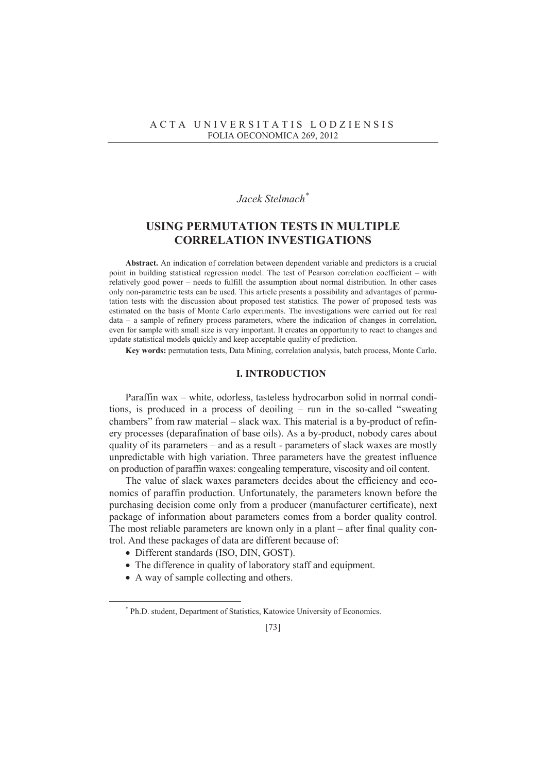# *Jacek Stelmach\**

# **USING PERMUTATION TESTS IN MULTIPLE CORRELATION INVESTIGATIONS**

**Abstract.** An indication of correlation between dependent variable and predictors is a crucial point in building statistical regression model. The test of Pearson correlation coefficient – with relatively good power – needs to fulfill the assumption about normal distribution. In other cases only non-parametric tests can be used. This article presents a possibility and advantages of permutation tests with the discussion about proposed test statistics. The power of proposed tests was estimated on the basis of Monte Carlo experiments. The investigations were carried out for real data – a sample of refinery process parameters, where the indication of changes in correlation, even for sample with small size is very important. It creates an opportunity to react to changes and update statistical models quickly and keep acceptable quality of prediction.

**Key words:** permutation tests, Data Mining, correlation analysis, batch process, Monte Carlo.

## **I. INTRODUCTION**

Paraffin wax – white, odorless, tasteless hydrocarbon solid in normal conditions, is produced in a process of deoiling – run in the so-called "sweating chambers" from raw material – slack wax. This material is a by-product of refinery processes (deparafination of base oils). As a by-product, nobody cares about quality of its parameters – and as a result - parameters of slack waxes are mostly unpredictable with high variation. Three parameters have the greatest influence on production of paraffin waxes: congealing temperature, viscosity and oil content.

The value of slack waxes parameters decides about the efficiency and economics of paraffin production. Unfortunately, the parameters known before the purchasing decision come only from a producer (manufacturer certificate), next package of information about parameters comes from a border quality control. The most reliable parameters are known only in a plant – after final quality control. And these packages of data are different because of:

- Different standards (ISO, DIN, GOST).
- The difference in quality of laboratory staff and equipment.
- A way of sample collecting and others.

 $\overline{a}$ 

<sup>\*</sup> Ph.D. student, Department of Statistics, Katowice University of Economics.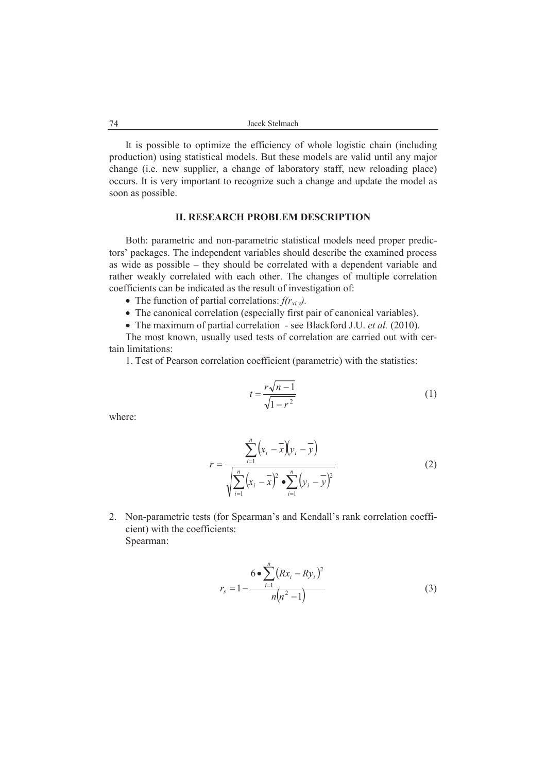It is possible to optimize the efficiency of whole logistic chain (including production) using statistical models. But these models are valid until any major change (i.e. new supplier, a change of laboratory staff, new reloading place) occurs. It is very important to recognize such a change and update the model as soon as possible.

## **II. RESEARCH PROBLEM DESCRIPTION**

Both: parametric and non-parametric statistical models need proper predictors' packages. The independent variables should describe the examined process as wide as possible – they should be correlated with a dependent variable and rather weakly correlated with each other. The changes of multiple correlation coefficients can be indicated as the result of investigation of:

- The function of partial correlations:  $f(r_{xiv})$ .
- The canonical correlation (especially first pair of canonical variables).
- The maximum of partial correlation see Blackford J.U. *et al.* (2010).

The most known, usually used tests of correlation are carried out with certain limitations:

1. Test of Pearson correlation coefficient (parametric) with the statistics:

$$
t = \frac{r\sqrt{n-1}}{\sqrt{1-r^2}}\tag{1}
$$

where:

$$
r = \frac{\sum_{i=1}^{n} (x_i - \overline{x})(y_i - \overline{y})}{\sqrt{\sum_{i=1}^{n} (x_i - \overline{x})^2 \cdot \sum_{i=1}^{n} (y_i - \overline{y})^2}}
$$
(2)

2. Non-parametric tests (for Spearman's and Kendall's rank correlation coefficient) with the coefficients: Spearman:

$$
r_s = 1 - \frac{6 \cdot \sum_{i=1}^{n} (Rx_i - Ry_i)^2}{n(n^2 - 1)}
$$
(3)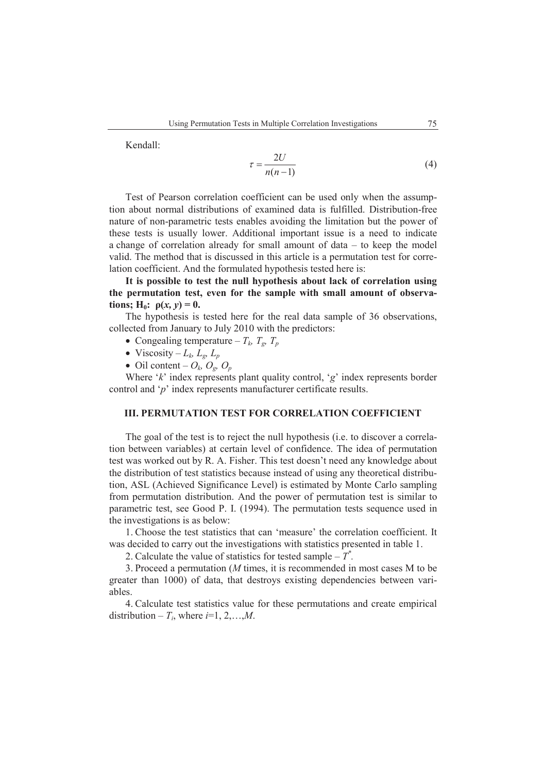Kendall:

$$
\tau = \frac{2U}{n(n-1)}\tag{4}
$$

Test of Pearson correlation coefficient can be used only when the assumption about normal distributions of examined data is fulfilled. Distribution-free nature of non-parametric tests enables avoiding the limitation but the power of these tests is usually lower. Additional important issue is a need to indicate a change of correlation already for small amount of data – to keep the model valid. The method that is discussed in this article is a permutation test for correlation coefficient. And the formulated hypothesis tested here is:

**It is possible to test the null hypothesis about lack of correlation using the permutation test, even for the sample with small amount of observations;**  $H_0$ :  $\rho(x, y) = 0$ .

The hypothesis is tested here for the real data sample of 36 observations, collected from January to July 2010 with the predictors:

- Congealing temperature  $T_k$ ,  $T_g$ ,  $T_p$
- Viscosity  $L_k$ ,  $L_g$ ,  $L_p$
- $\bullet$  Oil content  $O_k$ ,  $O_g$ ,  $O_p$

Where '*k*' index represents plant quality control, '*g*' index represents border control and '*p*' index represents manufacturer certificate results.

## **III. PERMUTATION TEST FOR CORRELATION COEFFICIENT**

The goal of the test is to reject the null hypothesis (i.e. to discover a correlation between variables) at certain level of confidence. The idea of permutation test was worked out by R. A. Fisher. This test doesn't need any knowledge about the distribution of test statistics because instead of using any theoretical distribution, ASL (Achieved Significance Level) is estimated by Monte Carlo sampling from permutation distribution. And the power of permutation test is similar to parametric test, see Good P. I. (1994). The permutation tests sequence used in the investigations is as below:

1. Choose the test statistics that can 'measure' the correlation coefficient. It was decided to carry out the investigations with statistics presented in table 1.

2. Calculate the value of statistics for tested sample  $-\overline{T}^*$ .

3. Proceed a permutation (*M* times, it is recommended in most cases M to be greater than 1000) of data, that destroys existing dependencies between variables.

4. Calculate test statistics value for these permutations and create empirical distribution –  $T_i$ , where  $i=1, 2, \ldots, M$ .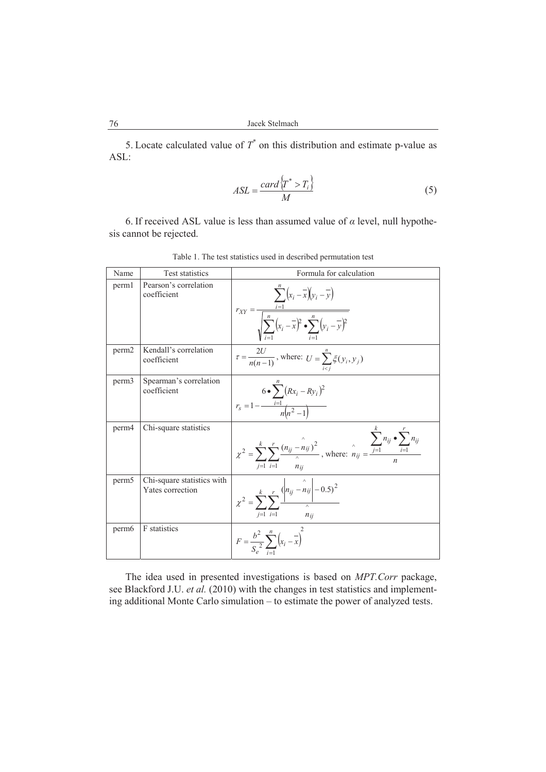5. Locate calculated value of  $T^*$  on this distribution and estimate p-value as ASL:

$$
ASL = \frac{card\left\{T^* > T_i\right\}}{M}
$$
\n(5)

6. If received ASL value is less than assumed value of  $\alpha$  level, null hypothesis cannot be rejected.

| Name              | Test statistics                                | Formula for calculation                                                                                                                                             |
|-------------------|------------------------------------------------|---------------------------------------------------------------------------------------------------------------------------------------------------------------------|
| perm1             | Pearson's correlation<br>coefficient           | $r_{XY} = \frac{\sum_{i=1}^{n} (x_i - \overline{x})(y_i - \overline{y})}{\sqrt{\sum_{i=1}^{n} (x_i - \overline{x})^2 \cdot \sum_{i=1}^{n} (y_i - \overline{y})^2}}$ |
| perm <sub>2</sub> | Kendall's correlation<br>coefficient           | $\tau = \frac{2U}{n(n-1)}$ , where: $U = \sum_{i=1}^{n} \xi(y_i, y_j)$                                                                                              |
| perm <sub>3</sub> | Spearman's correlation<br>coefficient          | $6 \bullet \sum (Rx_i - Ry_i)^2$<br>$r_s = 1 - \frac{i=1}{n(n^2-1)}$                                                                                                |
| perm4             | Chi-square statistics                          | $\chi^2 = \sum_{j=1}^k \sum_{i=1}^r \frac{(n_{ij} - n_{ij})^2}{n_{ii}}$ , where: $n_{ij} = \frac{\sum_{j=1}^n n_{ij} \cdot \sum_{i=1}^r n_{ij}}{n_{ii}}$            |
| perm <sub>5</sub> | Chi-square statistics with<br>Yates correction | $\chi^2 = \sum^k \sum^r \frac{\left n_{ij} - n_{ij}\right  - 0.5^2}{\lambda}$<br>$n_{ii}$                                                                           |
| perm <sub>6</sub> | F statistics                                   | $F = \frac{b^2}{S_a^2} \sum_{i=1}^n (x_i - \overline{x})^2$                                                                                                         |

Table 1. The test statistics used in described permutation test

The idea used in presented investigations is based on *MPT.Corr* package, see Blackford J.U. *et al.* (2010) with the changes in test statistics and implementing additional Monte Carlo simulation – to estimate the power of analyzed tests.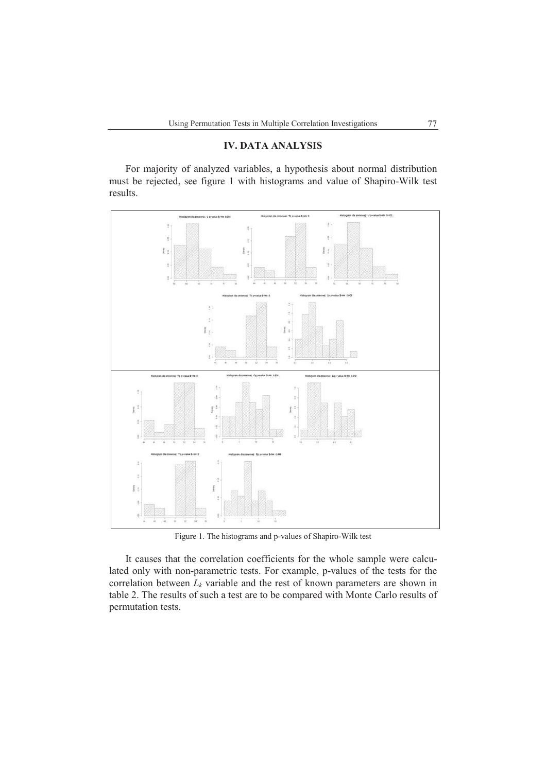## **IV. DATA ANALYSIS**

For majority of analyzed variables, a hypothesis about normal distribution must be rejected, see figure 1 with histograms and value of Shapiro-Wilk test results.



Figure 1. The histograms and p-values of Shapiro-Wilk test

It causes that the correlation coefficients for the whole sample were calculated only with non-parametric tests. For example, p-values of the tests for the correlation between *Lk* variable and the rest of known parameters are shown in table 2. The results of such a test are to be compared with Monte Carlo results of permutation tests.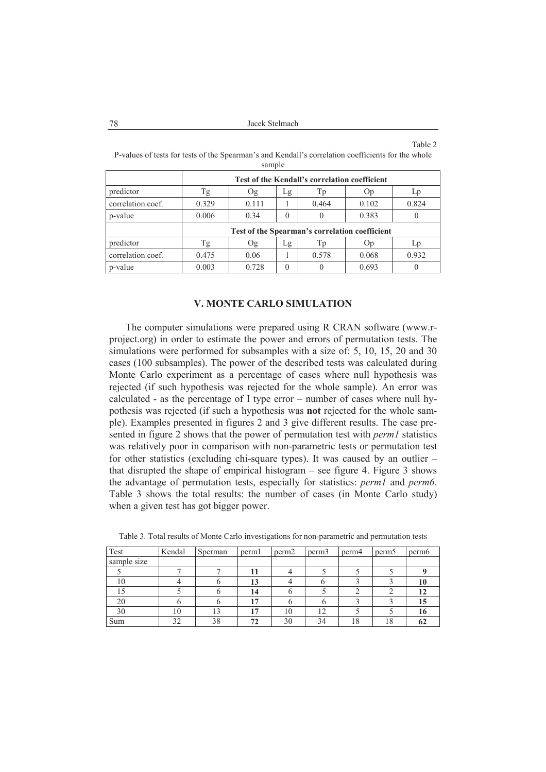#### Table 2 P-values of tests for tests of the Spearman's and Kendall's correlation coefficients for the whole

| $\mathbf{F} \mathbf{F}$ , and a substitute of $\mathbf{F} \mathbf{Z}$ , and $\mathbf{F} \mathbf{H} \mathbf{F}$ , and a substitute of $\mathbf{F} \mathbf{F}$ , and $\mathbf{F} \mathbf{F}$ |  |
|--------------------------------------------------------------------------------------------------------------------------------------------------------------------------------------------|--|
| sample                                                                                                                                                                                     |  |
| P-values of lests for tests of the spearman s and Nendan s correlation coefficients for the whole                                                                                          |  |

|                   | Test of the Kendall's correlation coefficient  |       |    |       |       |       |  |  |
|-------------------|------------------------------------------------|-------|----|-------|-------|-------|--|--|
| predictor         | Γg                                             | Og    | Lg | Тp    | Op    | Lp    |  |  |
| correlation coef. | 0.329                                          | 0.111 |    | 0.464 | 0.102 | 0.824 |  |  |
| p-value           | 0.006                                          | 0.34  |    |       | 0.383 |       |  |  |
|                   | Test of the Spearman's correlation coefficient |       |    |       |       |       |  |  |
| predictor         | Tg                                             | Оg    | Lg | Тp    | Op    | LD    |  |  |
| correlation coef. | 0.475                                          | 0.06  |    | 0.578 | 0.068 | 0.932 |  |  |
| p-value           | 0.003                                          | 0.728 |    |       | 0.693 |       |  |  |

## **V. MONTE CARLO SIMULATION**

The computer simulations were prepared using R CRAN software (www.rproject.org) in order to estimate the power and errors of permutation tests. The simulations were performed for subsamples with a size of: 5, 10, 15, 20 and 30 cases (100 subsamples). The power of the described tests was calculated during Monte Carlo experiment as a percentage of cases where null hypothesis was rejected (if such hypothesis was rejected for the whole sample). An error was calculated - as the percentage of I type error – number of cases where null hypothesis was rejected (if such a hypothesis was **not** rejected for the whole sample). Examples presented in figures 2 and 3 give different results. The case presented in figure 2 shows that the power of permutation test with *perm1* statistics was relatively poor in comparison with non-parametric tests or permutation test for other statistics (excluding chi-square types). It was caused by an outlier – that disrupted the shape of empirical histogram – see figure 4. Figure 3 shows the advantage of permutation tests, especially for statistics: *perm1* and *perm6*. Table 3 shows the total results: the number of cases (in Monte Carlo study) when a given test has got bigger power.

| Test        | Kendal | Sperman | perml                    | perm <sub>2</sub> | perm <sub>3</sub> | perm4 | perm <sub>5</sub> | perm <sub>6</sub> |
|-------------|--------|---------|--------------------------|-------------------|-------------------|-------|-------------------|-------------------|
| sample size |        |         |                          |                   |                   |       |                   |                   |
|             |        |         |                          |                   |                   |       |                   |                   |
| 10          |        |         | 13                       |                   |                   |       |                   |                   |
|             |        |         | 14                       |                   |                   |       |                   |                   |
| 20          |        |         | $\overline{\phantom{a}}$ |                   |                   |       |                   | 15                |
| 30          | 10     |         | $\overline{ }$           | 10                | 12                |       |                   | 10                |
| Sum         | 32     | 38      | 72                       | 30                | 34                | 18    | 18                |                   |

Table 3. Total results of Monte Carlo investigations for non-parametric and permutation tests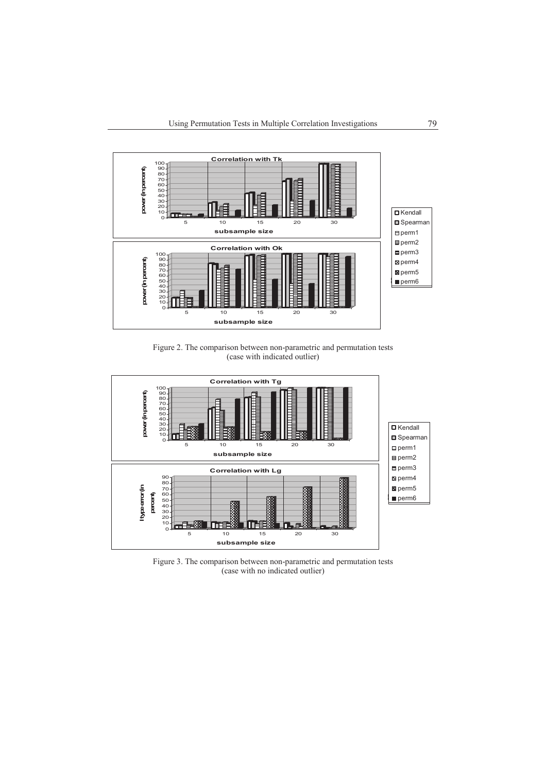

Figure 2. The comparison between non-parametric and permutation tests (case with indicated outlier)



Figure 3. The comparison between non-parametric and permutation tests (case with no indicated outlier)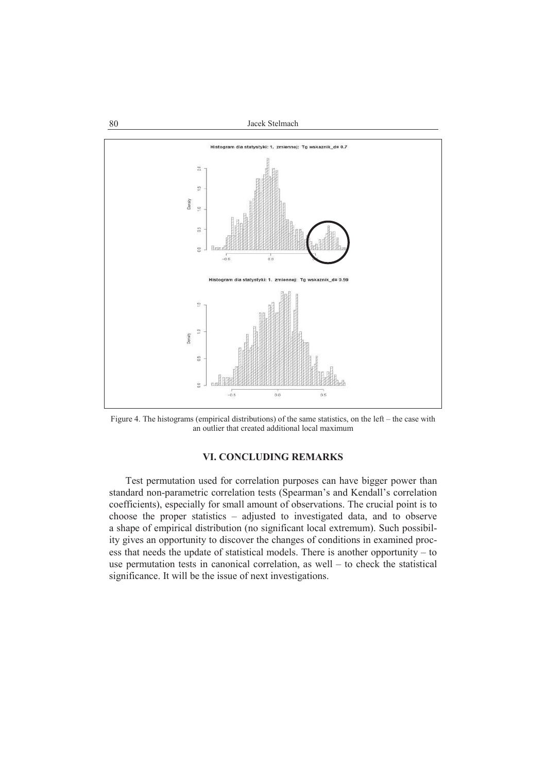80 Jacek Stelmach



Figure 4. The histograms (empirical distributions) of the same statistics, on the left – the case with an outlier that created additional local maximum

# **VI. CONCLUDING REMARKS**

Test permutation used for correlation purposes can have bigger power than standard non-parametric correlation tests (Spearman's and Kendall's correlation coefficients), especially for small amount of observations. The crucial point is to choose the proper statistics – adjusted to investigated data, and to observe a shape of empirical distribution (no significant local extremum). Such possibility gives an opportunity to discover the changes of conditions in examined process that needs the update of statistical models. There is another opportunity – to use permutation tests in canonical correlation, as well – to check the statistical significance. It will be the issue of next investigations.